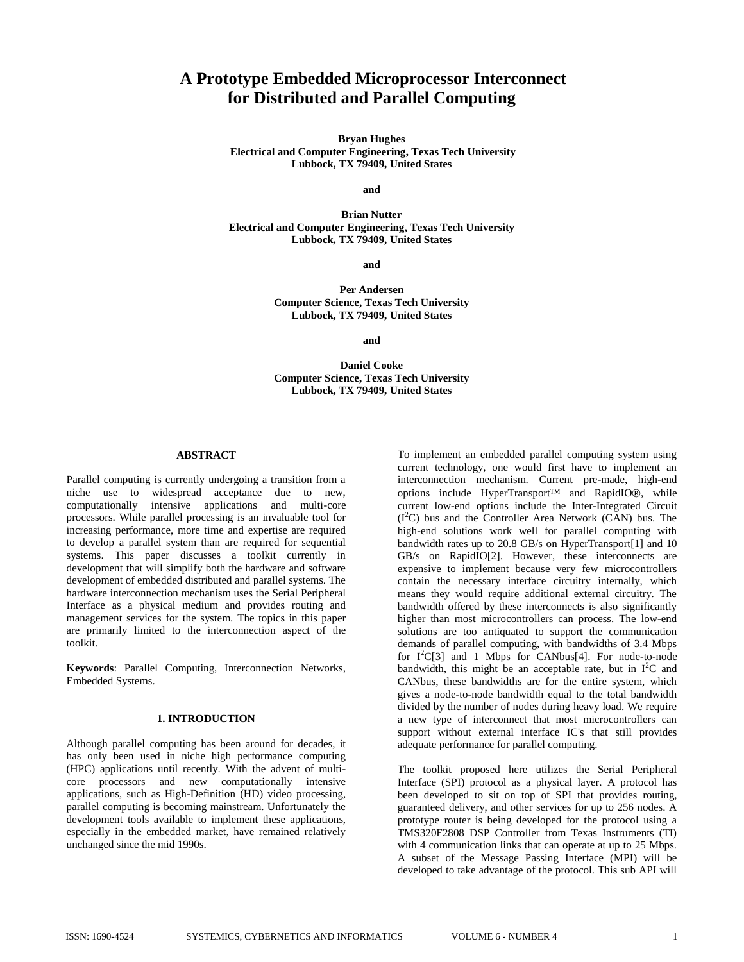# **A Prototype Embedded Microprocessor Interconnect for Distributed and Parallel Computing**

**Bryan Hughes Electrical and Computer Engineering, Texas Tech University Lubbock, TX 79409, United States**

**and**

**Brian Nutter Electrical and Computer Engineering, Texas Tech University Lubbock, TX 79409, United States**

**and**

**Per Andersen Computer Science, Texas Tech University Lubbock, TX 79409, United States**

**and**

**Daniel Cooke Computer Science, Texas Tech University Lubbock, TX 79409, United States**

### **ABSTRACT**

Parallel computing is currently undergoing a transition from a niche use to widespread acceptance due to new, computationally intensive applications and multi-core processors. While parallel processing is an invaluable tool for increasing performance, more time and expertise are required to develop a parallel system than are required for sequential systems. This paper discusses a toolkit currently in development that will simplify both the hardware and software development of embedded distributed and parallel systems. The hardware interconnection mechanism uses the Serial Peripheral Interface as a physical medium and provides routing and management services for the system. The topics in this paper are primarily limited to the interconnection aspect of the toolkit.

**Keywords**: Parallel Computing, Interconnection Networks, Embedded Systems.

## **1. INTRODUCTION**

Although parallel computing has been around for decades, it has only been used in niche high performance computing (HPC) applications until recently. With the advent of multicore processors and new computationally intensive applications, such as High-Definition (HD) video processing, parallel computing is becoming mainstream. Unfortunately the development tools available to implement these applications, especially in the embedded market, have remained relatively unchanged since the mid 1990s.

To implement an embedded parallel computing system using current technology, one would first have to implement an interconnection mechanism. Current pre-made, high-end options include HyperTransport<sup>TM</sup> and RapidIO®, while current low-end options include the Inter-Integrated Circuit  $(I<sup>2</sup>C)$  bus and the Controller Area Network (CAN) bus. The high-end solutions work well for parallel computing with bandwidth rates up to 20.8 GB/s on HyperTransport[1] and 10 GB/s on RapidIO[2]. However, these interconnects are expensive to implement because very few microcontrollers contain the necessary interface circuitry internally, which means they would require additional external circuitry. The bandwidth offered by these interconnects is also significantly higher than most microcontrollers can process. The low-end solutions are too antiquated to support the communication demands of parallel computing, with bandwidths of 3.4 Mbps for  $I^2C[3]$  and 1 Mbps for CANbus[4]. For node-to-node bandwidth, this might be an acceptable rate, but in  $I^2C$  and CANbus, these bandwidths are for the entire system, which gives a node-to-node bandwidth equal to the total bandwidth divided by the number of nodes during heavy load. We require a new type of interconnect that most microcontrollers can support without external interface IC's that still provides adequate performance for parallel computing.

The toolkit proposed here utilizes the Serial Peripheral Interface (SPI) protocol as a physical layer. A protocol has been developed to sit on top of SPI that provides routing, guaranteed delivery, and other services for up to 256 nodes. A prototype router is being developed for the protocol using a TMS320F2808 DSP Controller from Texas Instruments (TI) with 4 communication links that can operate at up to 25 Mbps. A subset of the Message Passing Interface (MPI) will be developed to take advantage of the protocol. This sub API will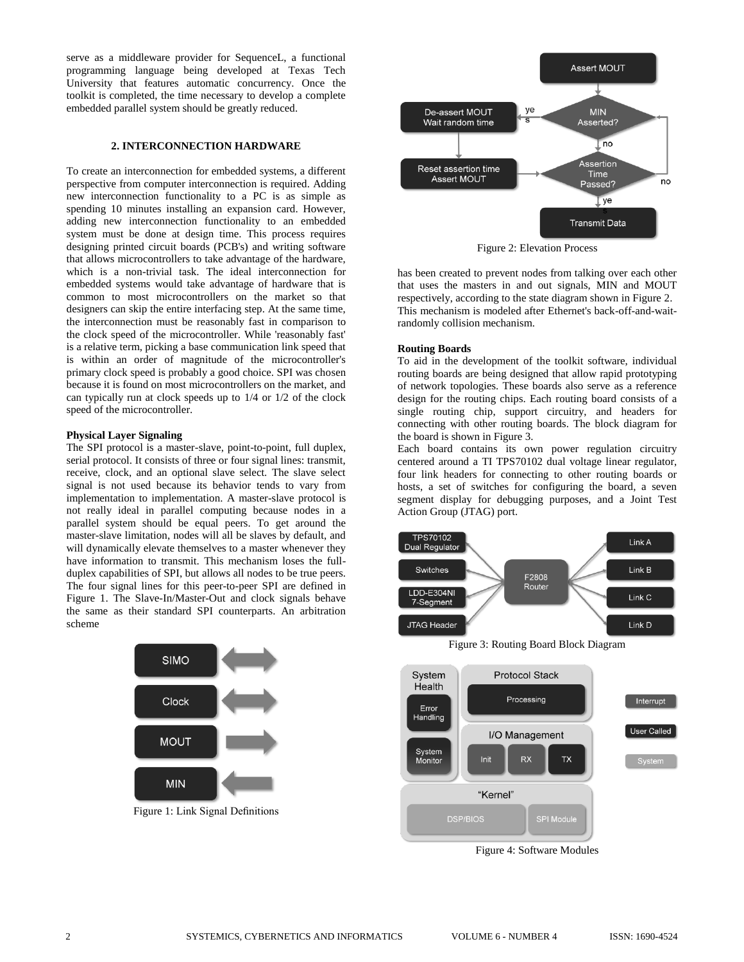serve as a middleware provider for SequenceL, a functional programming language being developed at Texas Tech University that features automatic concurrency. Once the toolkit is completed, the time necessary to develop a complete embedded parallel system should be greatly reduced.

# **2. INTERCONNECTION HARDWARE**

To create an interconnection for embedded systems, a different perspective from computer interconnection is required. Adding new interconnection functionality to a PC is as simple as spending 10 minutes installing an expansion card. However, adding new interconnection functionality to an embedded system must be done at design time. This process requires designing printed circuit boards (PCB's) and writing software that allows microcontrollers to take advantage of the hardware, which is a non-trivial task. The ideal interconnection for embedded systems would take advantage of hardware that is common to most microcontrollers on the market so that designers can skip the entire interfacing step. At the same time, the interconnection must be reasonably fast in comparison to the clock speed of the microcontroller. While 'reasonably fast' is a relative term, picking a base communication link speed that is within an order of magnitude of the microcontroller's primary clock speed is probably a good choice. SPI was chosen because it is found on most microcontrollers on the market, and can typically run at clock speeds up to 1/4 or 1/2 of the clock speed of the microcontroller.

### **Physical Layer Signaling**

The SPI protocol is a master-slave, point-to-point, full duplex, serial protocol. It consists of three or four signal lines: transmit, receive, clock, and an optional slave select. The slave select signal is not used because its behavior tends to vary from implementation to implementation. A master-slave protocol is not really ideal in parallel computing because nodes in a parallel system should be equal peers. To get around the master-slave limitation, nodes will all be slaves by default, and will dynamically elevate themselves to a master whenever they have information to transmit. This mechanism loses the fullduplex capabilities of SPI, but allows all nodes to be true peers. The four signal lines for this peer-to-peer SPI are defined in Figure 1. The Slave-In/Master-Out and clock signals behave the same as their standard SPI counterparts. An arbitration scheme



Figure 1: Link Signal Definitions



Figure 2: Elevation Process

has been created to prevent nodes from talking over each other that uses the masters in and out signals, MIN and MOUT respectively, according to the state diagram shown in Figure 2. This mechanism is modeled after Ethernet's back-off-and-waitrandomly collision mechanism.

#### **Routing Boards**

To aid in the development of the toolkit software, individual routing boards are being designed that allow rapid prototyping of network topologies. These boards also serve as a reference design for the routing chips. Each routing board consists of a single routing chip, support circuitry, and headers for connecting with other routing boards. The block diagram for the board is shown in Figure 3.

Each board contains its own power regulation circuitry centered around a TI TPS70102 dual voltage linear regulator, four link headers for connecting to other routing boards or hosts, a set of switches for configuring the board, a seven segment display for debugging purposes, and a Joint Test Action Group (JTAG) port.



Figure 3: Routing Board Block Diagram



Figure 4: Software Modules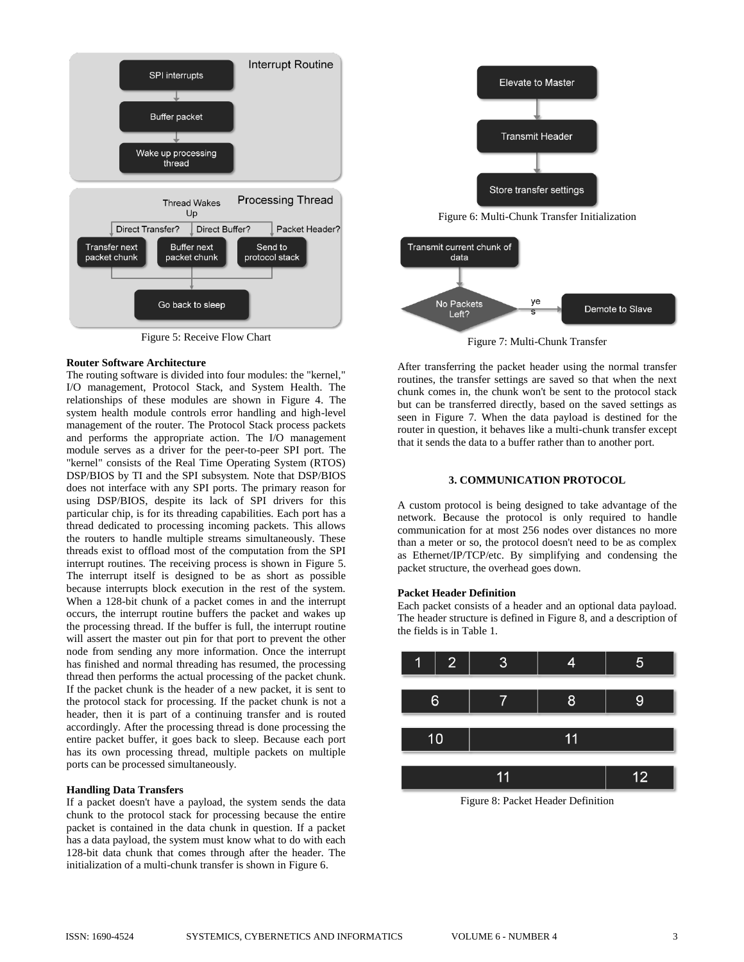

Figure 5: Receive Flow Chart

# **Router Software Architecture**

The routing software is divided into four modules: the "kernel," I/O management, Protocol Stack, and System Health. The relationships of these modules are shown in Figure 4. The system health module controls error handling and high-level management of the router. The Protocol Stack process packets and performs the appropriate action. The I/O management module serves as a driver for the peer-to-peer SPI port. The "kernel" consists of the Real Time Operating System (RTOS) DSP/BIOS by TI and the SPI subsystem. Note that DSP/BIOS does not interface with any SPI ports. The primary reason for using DSP/BIOS, despite its lack of SPI drivers for this particular chip, is for its threading capabilities. Each port has a thread dedicated to processing incoming packets. This allows the routers to handle multiple streams simultaneously. These threads exist to offload most of the computation from the SPI interrupt routines. The receiving process is shown in Figure 5. The interrupt itself is designed to be as short as possible because interrupts block execution in the rest of the system. When a 128-bit chunk of a packet comes in and the interrupt occurs, the interrupt routine buffers the packet and wakes up the processing thread. If the buffer is full, the interrupt routine will assert the master out pin for that port to prevent the other node from sending any more information. Once the interrupt has finished and normal threading has resumed, the processing thread then performs the actual processing of the packet chunk. If the packet chunk is the header of a new packet, it is sent to the protocol stack for processing. If the packet chunk is not a header, then it is part of a continuing transfer and is routed accordingly. After the processing thread is done processing the entire packet buffer, it goes back to sleep. Because each port has its own processing thread, multiple packets on multiple ports can be processed simultaneously.

# **Handling Data Transfers**

If a packet doesn't have a payload, the system sends the data chunk to the protocol stack for processing because the entire packet is contained in the data chunk in question. If a packet has a data payload, the system must know what to do with each 128-bit data chunk that comes through after the header. The initialization of a multi-chunk transfer is shown in Figure 6.



Figure 6: Multi-Chunk Transfer Initialization



Figure 7: Multi-Chunk Transfer

After transferring the packet header using the normal transfer routines, the transfer settings are saved so that when the next chunk comes in, the chunk won't be sent to the protocol stack but can be transferred directly, based on the saved settings as seen in Figure 7. When the data payload is destined for the router in question, it behaves like a multi-chunk transfer except that it sends the data to a buffer rather than to another port.

# **3. COMMUNICATION PROTOCOL**

A custom protocol is being designed to take advantage of the network. Because the protocol is only required to handle communication for at most 256 nodes over distances no more than a meter or so, the protocol doesn't need to be as complex as Ethernet/IP/TCP/etc. By simplifying and condensing the packet structure, the overhead goes down.

# **Packet Header Definition**

Each packet consists of a header and an optional data payload. The header structure is defined in Figure 8, and a description of the fields is in Table 1.



Figure 8: Packet Header Definition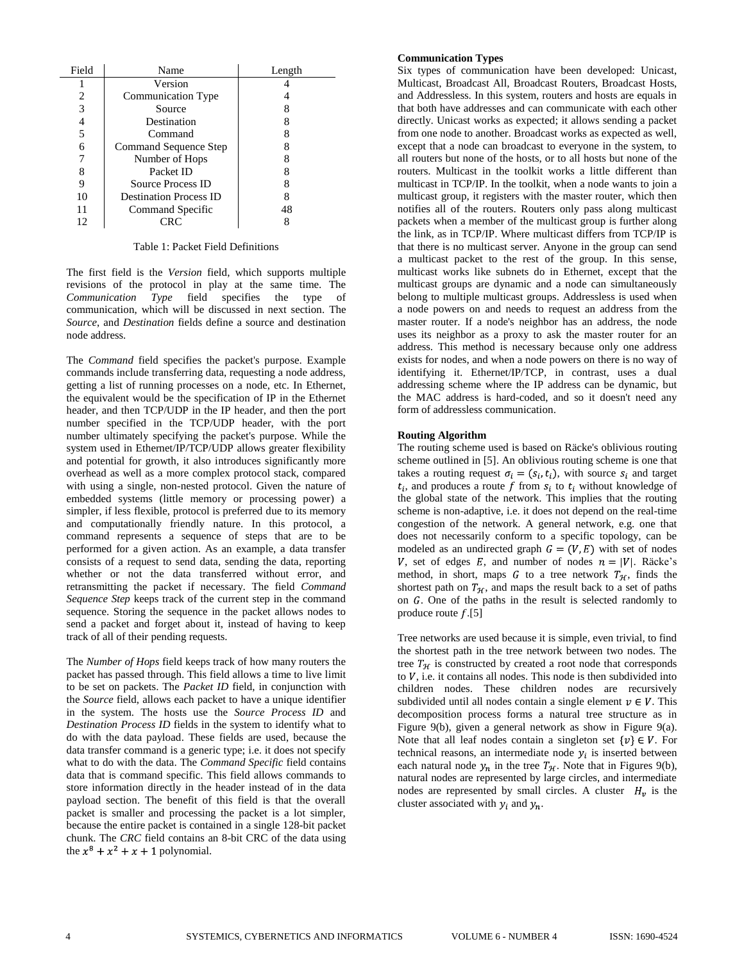| Field          | Name                          | Length |
|----------------|-------------------------------|--------|
|                | Version                       |        |
| $\overline{c}$ | Communication Type            |        |
| 3              | Source                        |        |
| 4              | Destination                   |        |
| 5              | Command                       |        |
| 6              | Command Sequence Step         |        |
|                | Number of Hops                |        |
| 8              | Packet ID                     |        |
| q              | <b>Source Process ID</b>      |        |
| 10             | <b>Destination Process ID</b> |        |
| 11             | Command Specific              | 48     |
| 12             |                               |        |

Table 1: Packet Field Definitions

The first field is the *Version* field, which supports multiple revisions of the protocol in play at the same time. The *Communication Type* field specifies the type of communication, which will be discussed in next section. The *Source*, and *Destination* fields define a source and destination node address.

The *Command* field specifies the packet's purpose. Example commands include transferring data, requesting a node address, getting a list of running processes on a node, etc. In Ethernet, the equivalent would be the specification of IP in the Ethernet header, and then TCP/UDP in the IP header, and then the port number specified in the TCP/UDP header, with the port number ultimately specifying the packet's purpose. While the system used in Ethernet/IP/TCP/UDP allows greater flexibility and potential for growth, it also introduces significantly more overhead as well as a more complex protocol stack, compared with using a single, non-nested protocol. Given the nature of embedded systems (little memory or processing power) a simpler, if less flexible, protocol is preferred due to its memory and computationally friendly nature. In this protocol, a command represents a sequence of steps that are to be performed for a given action. As an example, a data transfer consists of a request to send data, sending the data, reporting whether or not the data transferred without error, and retransmitting the packet if necessary. The field *Command Sequence Step* keeps track of the current step in the command sequence. Storing the sequence in the packet allows nodes to send a packet and forget about it, instead of having to keep track of all of their pending requests.

The *Number of Hops* field keeps track of how many routers the packet has passed through. This field allows a time to live limit to be set on packets. The *Packet ID* field, in conjunction with the *Source* field, allows each packet to have a unique identifier in the system. The hosts use the *Source Process ID* and *Destination Process ID* fields in the system to identify what to do with the data payload. These fields are used, because the data transfer command is a generic type; i.e. it does not specify what to do with the data. The *Command Specific* field contains data that is command specific. This field allows commands to store information directly in the header instead of in the data payload section. The benefit of this field is that the overall packet is smaller and processing the packet is a lot simpler, because the entire packet is contained in a single 128-bit packet chunk. The *CRC* field contains an 8-bit CRC of the data using the  $x^8 + x^2 + x + 1$  polynomial.

# **Communication Types**

Six types of communication have been developed: Unicast, Multicast, Broadcast All, Broadcast Routers, Broadcast Hosts, and Addressless. In this system, routers and hosts are equals in that both have addresses and can communicate with each other directly. Unicast works as expected; it allows sending a packet from one node to another. Broadcast works as expected as well, except that a node can broadcast to everyone in the system, to all routers but none of the hosts, or to all hosts but none of the routers. Multicast in the toolkit works a little different than multicast in TCP/IP. In the toolkit, when a node wants to join a multicast group, it registers with the master router, which then notifies all of the routers. Routers only pass along multicast packets when a member of the multicast group is further along the link, as in TCP/IP. Where multicast differs from TCP/IP is that there is no multicast server. Anyone in the group can send a multicast packet to the rest of the group. In this sense, multicast works like subnets do in Ethernet, except that the multicast groups are dynamic and a node can simultaneously belong to multiple multicast groups. Addressless is used when a node powers on and needs to request an address from the master router. If a node's neighbor has an address, the node uses its neighbor as a proxy to ask the master router for an address. This method is necessary because only one address exists for nodes, and when a node powers on there is no way of identifying it. Ethernet/IP/TCP, in contrast, uses a dual addressing scheme where the IP address can be dynamic, but the MAC address is hard-coded, and so it doesn't need any form of addressless communication.

# **Routing Algorithm**

The routing scheme used is based on Räcke's oblivious routing scheme outlined in [5]. An oblivious routing scheme is one that takes a routing request  $\sigma_i = (s_i, t_i)$ , with source  $s_i$  and target  $t_i$ , and produces a route f from  $s_i$  to  $t_i$  without knowledge of the global state of the network. This implies that the routing scheme is non-adaptive, i.e. it does not depend on the real-time congestion of the network. A general network, e.g. one that does not necessarily conform to a specific topology, can be modeled as an undirected graph  $G = (V, E)$  with set of nodes V, set of edges E, and number of nodes  $n = |V|$ . Räcke's method, in short, maps G to a tree network  $T_{\mathcal{H}}$ , finds the shortest path on  $T_{\mathcal{H}}$ , and maps the result back to a set of paths on  $G$ . One of the paths in the result is selected randomly to produce route  $f.[5]$ 

Tree networks are used because it is simple, even trivial, to find the shortest path in the tree network between two nodes. The tree  $T_{\mathcal{H}}$  is constructed by created a root node that corresponds to  $V$ , i.e. it contains all nodes. This node is then subdivided into children nodes. These children nodes are recursively subdivided until all nodes contain a single element  $v \in V$ . This decomposition process forms a natural tree structure as in Figure 9(b), given a general network as show in Figure 9(a). Note that all leaf nodes contain a singleton set  $\{v\} \in V$ . For technical reasons, an intermediate node  $y_i$  is inserted between each natural node  $y_n$  in the tree  $T_{\mathcal{H}}$ . Note that in Figures 9(b), natural nodes are represented by large circles, and intermediate nodes are represented by small circles. A cluster  $H_v$  is the cluster associated with  $y_i$  and  $y_n$ .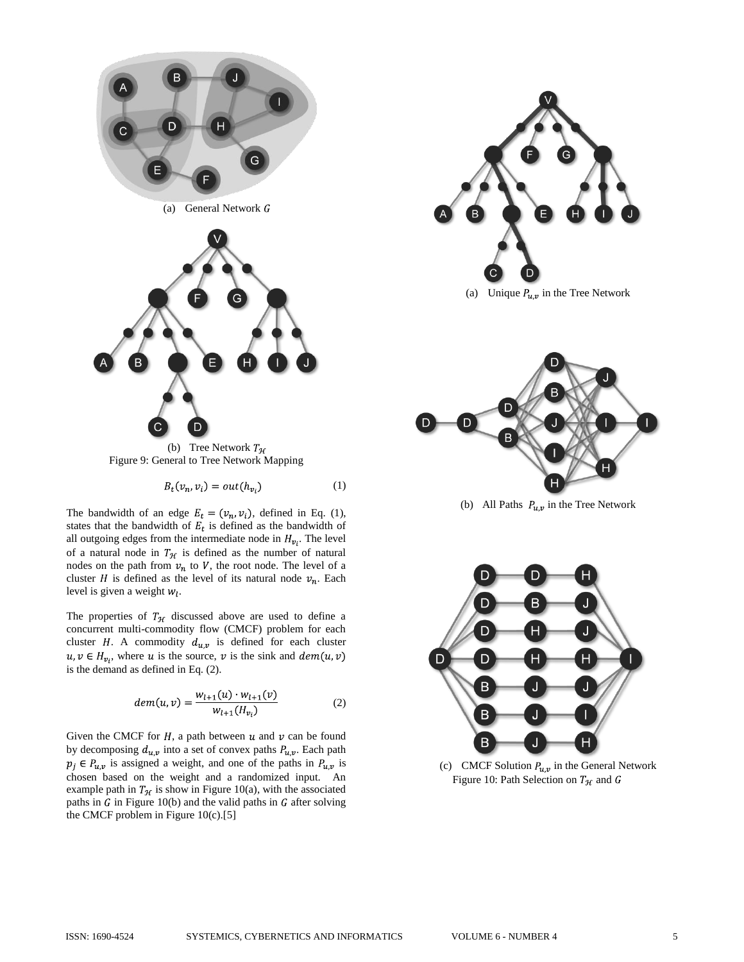

(b) Tree Network  $T_{\mathcal{H}}$ Figure 9: General to Tree Network Mapping

$$
B_t(v_n, v_i) = out(h_{v_i})
$$
 (1)

The bandwidth of an edge  $E_t = (v_n, v_i)$ , defined in Eq. (1), states that the bandwidth of  $E_t$  is defined as the bandwidth of all outgoing edges from the intermediate node in  $H_{v_i}$ . The level of a natural node in  $T_{\mathcal{H}}$  is defined as the number of natural nodes on the path from  $v_n$  to V, the root node. The level of a cluster *H* is defined as the level of its natural node  $v_n$ . Each level is given a weight  $w_l$ .

The properties of  $T_{\mathcal{H}}$  discussed above are used to define a concurrent multi-commodity flow (CMCF) problem for each cluster H. A commodity  $d_{u,v}$  is defined for each cluster  $u, v \in H_{\nu_i}$ , where u is the source, v is the sink and  $dem(u, v)$ is the demand as defined in Eq. (2).

$$
dem(u, v) = \frac{w_{l+1}(u) \cdot w_{l+1}(v)}{w_{l+1}(H_{v_i})}
$$
(2)

Given the CMCF for  $H$ , a path between  $u$  and  $v$  can be found by decomposing  $d_{u,v}$  into a set of convex paths  $P_{u,v}$ . Each path  $p_i \in P_{u,v}$  is assigned a weight, and one of the paths in  $P_{u,v}$  is chosen based on the weight and a randomized input. An example path in  $T_{\mathcal{H}}$  is show in Figure 10(a), with the associated paths in  $G$  in Figure 10(b) and the valid paths in  $G$  after solving the CMCF problem in Figure 10(c).[5]



(a) Unique  $P_{u,v}$  in the Tree Network



(b) All Paths  $P_{u,v}$  in the Tree Network



(c) CMCF Solution  $P_{u,v}$  in the General Network Figure 10: Path Selection on  $T_H$  and G